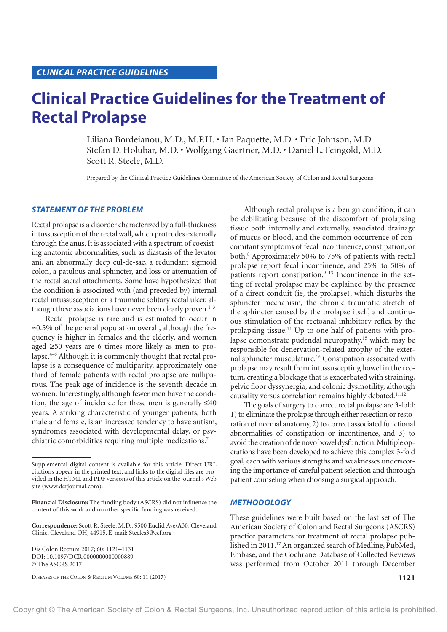# **Clinical Practice Guidelines for the Treatment of Rectal Prolapse**

Liliana Bordeianou, M.D., M.P.H. • Ian Paquette, M.D. • Eric Johnson, M.D. Stefan D. Holubar, M.D. • Wolfgang Gaertner, M.D. • Daniel L. Feingold, M.D. Scott R. Steele, M.D.

Prepared by the Clinical Practice Guidelines Committee of the American Society of Colon and Rectal Surgeons

## **STATEMENT OF THE PROBLEM**

Rectal prolapse is a disorder characterized by a full-thickness intussusception of the rectal wall, which protrudes externally through the anus. It is associated with a spectrum of coexisting anatomic abnormalities, such as diastasis of the levator ani, an abnormally deep cul-de-sac, a redundant sigmoid colon, a patulous anal sphincter, and loss or attenuation of the rectal sacral attachments. Some have hypothesized that the condition is associated with (and preceded by) internal rectal intussusception or a traumatic solitary rectal ulcer, although these associations have never been clearly proven. $1-3$ 

Rectal prolapse is rare and is estimated to occur in ≈0.5% of the general population overall, although the frequency is higher in females and the elderly, and women aged ≥50 years are 6 times more likely as men to prolapse.4–6 Although it is commonly thought that rectal prolapse is a consequence of multiparity, approximately one third of female patients with rectal prolapse are nulliparous. The peak age of incidence is the seventh decade in women. Interestingly, although fewer men have the condition, the age of incidence for these men is generally ≤40 years. A striking characteristic of younger patients, both male and female, is an increased tendency to have autism, syndromes associated with developmental delay, or psychiatric comorbidities requiring multiple medications.7

Dis Colon Rectum 2017; 60: 1121–1131 DOI: 10.1097/DCR.0000000000000889 © The ASCRS 2017

DISEASES OF THE COLON & RECTUM VOLUME 60: 11 (2017) **1121**

Although rectal prolapse is a benign condition, it can be debilitating because of the discomfort of prolapsing tissue both internally and externally, associated drainage of mucus or blood, and the common occurrence of concomitant symptoms of fecal incontinence, constipation, or both.8 Approximately 50% to 75% of patients with rectal prolapse report fecal incontinence, and 25% to 50% of patients report constipation. $9-13$  Incontinence in the setting of rectal prolapse may be explained by the presence of a direct conduit (ie, the prolapse), which disturbs the sphincter mechanism, the chronic traumatic stretch of the sphincter caused by the prolapse itself, and continuous stimulation of the rectoanal inhibitory reflex by the prolapsing tissue.14 Up to one half of patients with prolapse demonstrate pudendal neuropathy,<sup>15</sup> which may be responsible for denervation-related atrophy of the external sphincter musculature.16 Constipation associated with prolapse may result from intussuscepting bowel in the rectum, creating a blockage that is exacerbated with straining, pelvic floor dyssynergia, and colonic dysmotility, although causality versus correlation remains highly debated.<sup>11,12</sup>

The goals of surgery to correct rectal prolapse are 3-fold: 1) to eliminate the prolapse through either resection or restoration of normal anatomy, 2) to correct associated functional abnormalities of constipation or incontinence, and 3) to avoid the creation of de novo bowel dysfunction. Multiple operations have been developed to achieve this complex 3-fold goal, each with various strengths and weaknesses underscoring the importance of careful patient selection and thorough patient counseling when choosing a surgical approach.

## **METHODOLOGY**

These guidelines were built based on the last set of The American Society of Colon and Rectal Surgeons (ASCRS) practice parameters for treatment of rectal prolapse published in 2011.17 An organized search of Medline, PubMed, Embase, and the Cochrane Database of Collected Reviews was performed from October 2011 through December

Supplemental digital content is available for this article. Direct URL citations appear in the printed text, and links to the digital files are provided in the HTML and PDF versions of this article on the journal's Web site (www.dcrjournal.com).

**Financial Disclosure:** The funding body (ASCRS) did not influence the content of this work and no other specific funding was received.

**Correspondence:** Scott R. Steele, M.D., 9500 Euclid Ave/A30, Cleveland Clinic, Cleveland OH, 44915. E-mail: Steeles3@ccf.org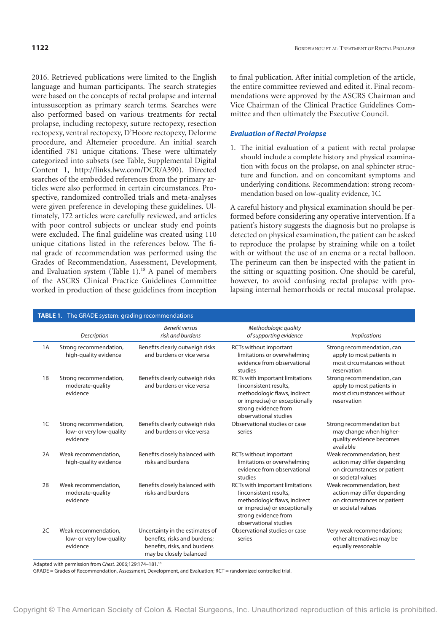2016. Retrieved publications were limited to the English language and human participants. The search strategies were based on the concepts of rectal prolapse and internal intussusception as primary search terms. Searches were also performed based on various treatments for rectal prolapse, including rectopexy, suture rectopexy, resection rectopexy, ventral rectopexy, D'Hoore rectopexy, Delorme procedure, and Altemeier procedure. An initial search identified 781 unique citations. These were ultimately categorized into subsets (see Table, Supplemental Digital Content 1, http://links.lww.com/DCR/A390). Directed searches of the embedded references from the primary articles were also performed in certain circumstances. Prospective, randomized controlled trials and meta-analyses were given preference in developing these guidelines. Ultimately, 172 articles were carefully reviewed, and articles with poor control subjects or unclear study end points were excluded. The final guideline was created using 110 unique citations listed in the references below. The final grade of recommendation was performed using the Grades of Recommendation, Assessment, Development, and Evaluation system (Table 1).<sup>18</sup> A panel of members of the ASCRS Clinical Practice Guidelines Committee

worked in production of these guidelines from inception

to final publication. After initial completion of the article, the entire committee reviewed and edited it. Final recommendations were approved by the ASCRS Chairman and Vice Chairman of the Clinical Practice Guidelines Committee and then ultimately the Executive Council.

### **Evaluation of Rectal Prolapse**

1. The initial evaluation of a patient with rectal prolapse should include a complete history and physical examination with focus on the prolapse, on anal sphincter structure and function, and on concomitant symptoms and underlying conditions. Recommendation: strong recommendation based on low-quality evidence, 1C.

A careful history and physical examination should be performed before considering any operative intervention. If a patient's history suggests the diagnosis but no prolapse is detected on physical examination, the patient can be asked to reproduce the prolapse by straining while on a toilet with or without the use of an enema or a rectal balloon. The perineum can then be inspected with the patient in the sitting or squatting position. One should be careful, however, to avoid confusing rectal prolapse with prolapsing internal hemorrhoids or rectal mucosal prolapse.

| <b>Benefit versus</b> |                                                                |                                                                                                                            |                                                                                                                                                                              |                                                                                                               |
|-----------------------|----------------------------------------------------------------|----------------------------------------------------------------------------------------------------------------------------|------------------------------------------------------------------------------------------------------------------------------------------------------------------------------|---------------------------------------------------------------------------------------------------------------|
|                       | Description                                                    | risk and burdens                                                                                                           | Methodologic quality<br>of supporting evidence                                                                                                                               | <i><u><b>Implications</b></u></i>                                                                             |
| 1A                    | Strong recommendation,<br>high-quality evidence                | Benefits clearly outweigh risks<br>and burdens or vice versa                                                               | RCTs without important<br>limitations or overwhelming<br>evidence from observational<br>studies                                                                              | Strong recommendation, can<br>apply to most patients in<br>most circumstances without<br>reservation          |
| 1B                    | Strong recommendation,<br>moderate-quality<br>evidence         | Benefits clearly outweigh risks<br>and burdens or vice versa                                                               | RCTs with important limitations<br>(inconsistent results,<br>methodologic flaws, indirect<br>or imprecise) or exceptionally<br>strong evidence from<br>observational studies | Strong recommendation, can<br>apply to most patients in<br>most circumstances without<br>reservation          |
| 1C                    | Strong recommendation,<br>low- or very low-quality<br>evidence | Benefits clearly outweigh risks<br>and burdens or vice versa                                                               | Observational studies or case<br>series                                                                                                                                      | Strong recommendation but<br>may change when higher-<br>quality evidence becomes<br>available                 |
| 2A                    | Weak recommendation,<br>high-quality evidence                  | Benefits closely balanced with<br>risks and burdens                                                                        | RCTs without important<br>limitations or overwhelming<br>evidence from observational<br>studies                                                                              | Weak recommendation, best<br>action may differ depending<br>on circumstances or patient<br>or societal values |
| 2B                    | Weak recommendation,<br>moderate-quality<br>evidence           | Benefits closely balanced with<br>risks and burdens                                                                        | RCTs with important limitations<br>(inconsistent results,<br>methodologic flaws, indirect<br>or imprecise) or exceptionally<br>strong evidence from<br>observational studies | Weak recommendation, best<br>action may differ depending<br>on circumstances or patient<br>or societal values |
| 2C                    | Weak recommendation.<br>low- or very low-quality<br>evidence   | Uncertainty in the estimates of<br>benefits, risks and burdens:<br>benefits, risks, and burdens<br>may be closely balanced | Observational studies or case<br>series                                                                                                                                      | Very weak recommendations;<br>other alternatives may be<br>equally reasonable                                 |

Adapted with permission from Chest. 2006;129:174–181.18

GRADE = Grades of Recommendation, Assessment, Development, and Evaluation; RCT = randomized controlled trial.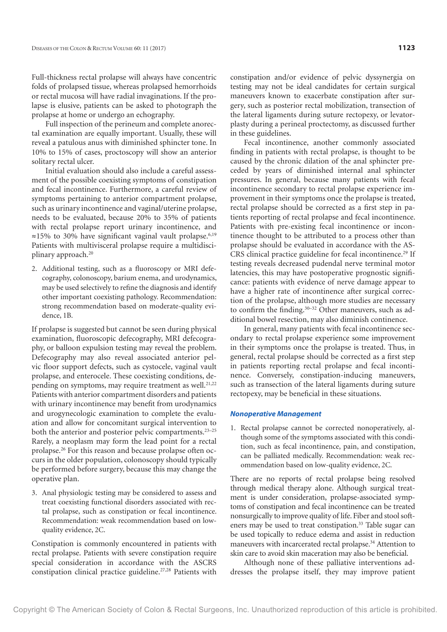Full-thickness rectal prolapse will always have concentric folds of prolapsed tissue, whereas prolapsed hemorrhoids or rectal mucosa will have radial invaginations. If the prolapse is elusive, patients can be asked to photograph the prolapse at home or undergo an echography.

Full inspection of the perineum and complete anorectal examination are equally important. Usually, these will reveal a patulous anus with diminished sphincter tone. In 10% to 15% of cases, proctoscopy will show an anterior solitary rectal ulcer.

Initial evaluation should also include a careful assessment of the possible coexisting symptoms of constipation and fecal incontinence. Furthermore, a careful review of symptoms pertaining to anterior compartment prolapse, such as urinary incontinence and vaginal/uterine prolapse, needs to be evaluated, because 20% to 35% of patients with rectal prolapse report urinary incontinence, and ≈15% to 30% have significant vaginal vault prolapse.6,19 Patients with multivisceral prolapse require a multidisciplinary approach.<sup>20</sup>

2. Additional testing, such as a fluoroscopy or MRI defecography, colonoscopy, barium enema, and urodynamics, may be used selectively to refine the diagnosis and identify other important coexisting pathology. Recommendation: strong recommendation based on moderate-quality evidence, 1B.

If prolapse is suggested but cannot be seen during physical examination, fluoroscopic defecography, MRI defecography, or balloon expulsion testing may reveal the problem. Defecography may also reveal associated anterior pelvic floor support defects, such as cystocele, vaginal vault prolapse, and enterocele. These coexisting conditions, depending on symptoms, may require treatment as well.<sup>21,22</sup> Patients with anterior compartment disorders and patients with urinary incontinence may benefit from urodynamics and urogynecologic examination to complete the evaluation and allow for concomitant surgical intervention to both the anterior and posterior pelvic compartments.23–25 Rarely, a neoplasm may form the lead point for a rectal prolapse.26 For this reason and because prolapse often occurs in the older population, colonoscopy should typically be performed before surgery, because this may change the operative plan.

3. Anal physiologic testing may be considered to assess and treat coexisting functional disorders associated with rectal prolapse, such as constipation or fecal incontinence. Recommendation: weak recommendation based on lowquality evidence, 2C.

Constipation is commonly encountered in patients with rectal prolapse. Patients with severe constipation require special consideration in accordance with the ASCRS constipation clinical practice guideline.27,28 Patients with constipation and/or evidence of pelvic dyssynergia on testing may not be ideal candidates for certain surgical maneuvers known to exacerbate constipation after surgery, such as posterior rectal mobilization, transection of the lateral ligaments during suture rectopexy, or levatorplasty during a perineal proctectomy, as discussed further in these guidelines.

Fecal incontinence, another commonly associated finding in patients with rectal prolapse, is thought to be caused by the chronic dilation of the anal sphincter preceded by years of diminished internal anal sphincter pressures. In general, because many patients with fecal incontinence secondary to rectal prolapse experience improvement in their symptoms once the prolapse is treated, rectal prolapse should be corrected as a first step in patients reporting of rectal prolapse and fecal incontinence. Patients with pre-existing fecal incontinence or incontinence thought to be attributed to a process other than prolapse should be evaluated in accordance with the AS-CRS clinical practice guideline for fecal incontinence.<sup>29</sup> If testing reveals decreased pudendal nerve terminal motor latencies, this may have postoperative prognostic significance: patients with evidence of nerve damage appear to have a higher rate of incontinence after surgical correction of the prolapse, although more studies are necessary to confirm the finding. $30-32$  Other maneuvers, such as additional bowel resection, may also diminish continence.

In general, many patients with fecal incontinence secondary to rectal prolapse experience some improvement in their symptoms once the prolapse is treated. Thus, in general, rectal prolapse should be corrected as a first step in patients reporting rectal prolapse and fecal incontinence. Conversely, constipation-inducing maneuvers, such as transection of the lateral ligaments during suture rectopexy, may be beneficial in these situations.

#### **Nonoperative Management**

1. Rectal prolapse cannot be corrected nonoperatively, although some of the symptoms associated with this condition, such as fecal incontinence, pain, and constipation, can be palliated medically. Recommendation: weak recommendation based on low-quality evidence, 2C.

There are no reports of rectal prolapse being resolved through medical therapy alone. Although surgical treatment is under consideration, prolapse-associated symptoms of constipation and fecal incontinence can be treated nonsurgically to improve quality of life. Fiber and stool softeners may be used to treat constipation.<sup>33</sup> Table sugar can be used topically to reduce edema and assist in reduction maneuvers with incarcerated rectal prolapse.<sup>34</sup> Attention to skin care to avoid skin maceration may also be beneficial.

Although none of these palliative interventions addresses the prolapse itself, they may improve patient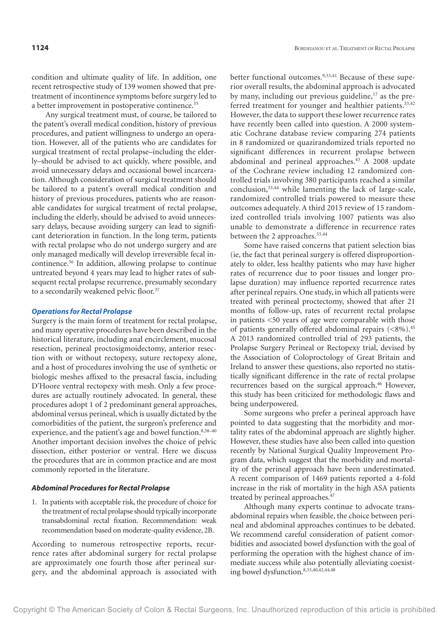condition and ultimate quality of life. In addition, one recent retrospective study of 139 women showed that pretreatment of incontinence symptoms before surgery led to a better improvement in postoperative continence.<sup>35</sup>

Any surgical treatment must, of course, be tailored to the patent's overall medical condition, history of previous procedures, and patient willingness to undergo an operation. However, all of the patients who are candidates for surgical treatment of rectal prolapse–including the elderly–should be advised to act quickly, where possible, and avoid unnecessary delays and occasional bowel incarceration. Although consideration of surgical treatment should be tailored to a patent's overall medical condition and history of previous procedures, patients who are reasonable candidates for surgical treatment of rectal prolapse, including the elderly, should be advised to avoid unnecessary delays, because avoiding surgery can lead to significant deterioration in function. In the long term, patients with rectal prolapse who do not undergo surgery and are only managed medically will develop irreversible fecal incontinence.36 In addition, allowing prolapse to continue untreated beyond 4 years may lead to higher rates of subsequent rectal prolapse recurrence, presumably secondary to a secondarily weakened pelvic floor.<sup>37</sup>

### **Operations for Rectal Prolapse**

Surgery is the main form of treatment for rectal prolapse, and many operative procedures have been described in the historical literature, including anal encirclement, mucosal resection, perineal proctosigmoidectomy, anterior resection with or without rectopexy, suture rectopexy alone, and a host of procedures involving the use of synthetic or biologic meshes affixed to the presacral fascia, including D'Hoore ventral rectopexy with mesh. Only a few procedures are actually routinely advocated. In general, these procedures adopt 1 of 2 predominant general approaches, abdominal versus perineal, which is usually dictated by the comorbidities of the patient, the surgeon's preference and experience, and the patient's age and bowel function.<sup>8,38–40</sup> Another important decision involves the choice of pelvic dissection, either posterior or ventral. Here we discuss the procedures that are in common practice and are most commonly reported in the literature.

### **Abdominal Procedures for Rectal Prolapse**

1. In patients with acceptable risk, the procedure of choice for the treatment of rectal prolapse should typically incorporate transabdominal rectal fixation. Recommendation: weak recommendation based on moderate-quality evidence, 2B.

According to numerous retrospective reports, recurrence rates after abdominal surgery for rectal prolapse are approximately one fourth those after perineal surgery, and the abdominal approach is associated with better functional outcomes.<sup>9,33,41</sup> Because of these superior overall results, the abdominal approach is advocated by many, including our previous guideline, $^{17}$  as the preferred treatment for younger and healthier patients.<sup>33,42</sup> However, the data to support these lower recurrence rates have recently been called into question. A 2000 systematic Cochrane database review comparing 274 patients in 8 randomized or quazirandomized trials reported no significant differences in recurrent prolapse between abdominal and perineal approaches.<sup>43</sup> A 2008 update of the Cochrane review including 12 randomized controlled trials involving 380 participants reached a similar conclusion,33,44 while lamenting the lack of large-scale, randomized controlled trials powered to measure these outcomes adequately. A third 2015 review of 15 randomized controlled trials involving 1007 patients was also unable to demonstrate a difference in recurrence rates between the 2 approaches.<sup>33,44</sup>

Some have raised concerns that patient selection bias (ie, the fact that perineal surgery is offered disproportionately to older, less healthy patients who may have higher rates of recurrence due to poor tissues and longer prolapse duration) may influence reported recurrence rates after perineal repairs. One study, in which all patients were treated with perineal proctectomy, showed that after 21 months of follow-up, rates of recurrent rectal prolapse in patients <50 years of age were comparable with those of patients generally offered abdominal repairs (<8%).45 A 2013 randomized controlled trial of 293 patients, the Prolapse Surgery Perineal or Rectopexy trial, devised by the Association of Coloproctology of Great Britain and Ireland to answer these questions, also reported no statistically significant difference in the rate of rectal prolapse recurrences based on the surgical approach.<sup>46</sup> However, this study has been criticized for methodologic flaws and being underpowered.

Some surgeons who prefer a perineal approach have pointed to data suggesting that the morbidity and mortality rates of the abdominal approach are slightly higher. However, these studies have also been called into question recently by National Surgical Quality Improvement Program data, which suggest that the morbidity and mortality of the perineal approach have been underestimated. A recent comparison of 1469 patients reported a 4-fold increase in the risk of mortality in the high ASA patients treated by perineal approaches.<sup>47</sup>

Although many experts continue to advocate transabdominal repairs when feasible, the choice between perineal and abdominal approaches continues to be debated. We recommend careful consideration of patient comorbidities and associated bowel dysfunction with the goal of performing the operation with the highest chance of immediate success while also potentially alleviating coexisting bowel dysfunction.8,33,40,42,44,48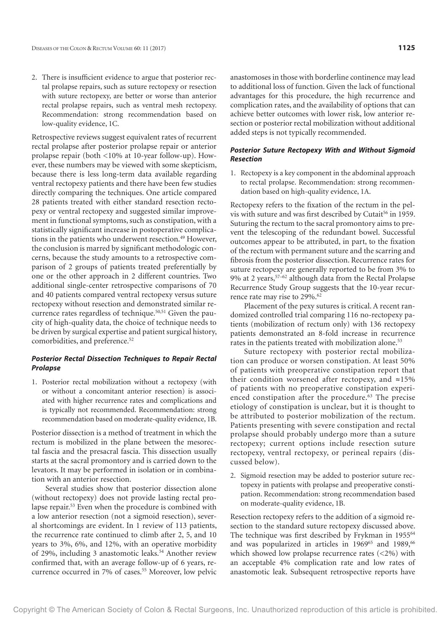2. There is insufficient evidence to argue that posterior rectal prolapse repairs, such as suture rectopexy or resection with suture rectopexy, are better or worse than anterior rectal prolapse repairs, such as ventral mesh rectopexy. Recommendation: strong recommendation based on low-quality evidence, 1C.

Retrospective reviews suggest equivalent rates of recurrent rectal prolapse after posterior prolapse repair or anterior prolapse repair (both <10% at 10-year follow-up). However, these numbers may be viewed with some skepticism, because there is less long-term data available regarding ventral rectopexy patients and there have been few studies directly comparing the techniques. One article compared 28 patients treated with either standard resection rectopexy or ventral rectopexy and suggested similar improvement in functional symptoms, such as constipation, with a statistically significant increase in postoperative complications in the patients who underwent resection.<sup>49</sup> However, the conclusion is marred by significant methodologic concerns, because the study amounts to a retrospective comparison of 2 groups of patients treated preferentially by one or the other approach in 2 different countries. Two additional single-center retrospective comparisons of 70 and 40 patients compared ventral rectopexy versus suture rectopexy without resection and demonstrated similar recurrence rates regardless of technique.<sup>50,51</sup> Given the paucity of high-quality data, the choice of technique needs to be driven by surgical expertise and patient surgical history, comorbidities, and preference.<sup>52</sup>

## **Posterior Rectal Dissection Techniques to Repair Rectal Prolapse**

1. Posterior rectal mobilization without a rectopexy (with or without a concomitant anterior resection) is associated with higher recurrence rates and complications and is typically not recommended. Recommendation: strong recommendation based on moderate-quality evidence, 1B.

Posterior dissection is a method of treatment in which the rectum is mobilized in the plane between the mesorectal fascia and the presacral fascia. This dissection usually starts at the sacral promontory and is carried down to the levators. It may be performed in isolation or in combination with an anterior resection.

Several studies show that posterior dissection alone (without rectopexy) does not provide lasting rectal prolapse repair.53 Even when the procedure is combined with a low anterior resection (not a sigmoid resection), several shortcomings are evident. In 1 review of 113 patients, the recurrence rate continued to climb after 2, 5, and 10 years to 3%, 6%, and 12%, with an operative morbidity of 29%, including 3 anastomotic leaks.<sup>54</sup> Another review confirmed that, with an average follow-up of 6 years, recurrence occurred in 7% of cases.<sup>55</sup> Moreover, low pelvic anastomoses in those with borderline continence may lead to additional loss of function. Given the lack of functional advantages for this procedure, the high recurrence and complication rates, and the availability of options that can achieve better outcomes with lower risk, low anterior resection or posterior rectal mobilization without additional added steps is not typically recommended.

## **Posterior Suture Rectopexy With and Without Sigmoid Resection**

1. Rectopexy is a key component in the abdominal approach to rectal prolapse. Recommendation: strong recommendation based on high-quality evidence, 1A.

Rectopexy refers to the fixation of the rectum in the pelvis with suture and was first described by Cutait<sup>56</sup> in 1959. Suturing the rectum to the sacral promontory aims to prevent the telescoping of the redundant bowel. Successful outcomes appear to be attributed, in part, to the fixation of the rectum with permanent suture and the scarring and fibrosis from the posterior dissection. Recurrence rates for suture rectopexy are generally reported to be from 3% to 9% at 2 years,57–62 although data from the Rectal Prolapse Recurrence Study Group suggests that the 10-year recurrence rate may rise to 29%.<sup>62</sup>

Placement of the pexy sutures is critical. A recent randomized controlled trial comparing 116 no-rectopexy patients (mobilization of rectum only) with 136 rectopexy patients demonstrated an 8-fold increase in recurrence rates in the patients treated with mobilization alone.<sup>53</sup>

Suture rectopexy with posterior rectal mobilization can produce or worsen constipation. At least 50% of patients with preoperative constipation report that their condition worsened after rectopexy, and ≈15% of patients with no preoperative constipation experienced constipation after the procedure.<sup>63</sup> The precise etiology of constipation is unclear, but it is thought to be attributed to posterior mobilization of the rectum. Patients presenting with severe constipation and rectal prolapse should probably undergo more than a suture rectopexy; current options include resection suture rectopexy, ventral rectopexy, or perineal repairs (discussed below).

2. Sigmoid resection may be added to posterior suture rectopexy in patients with prolapse and preoperative constipation. Recommendation: strong recommendation based on moderate-quality evidence, 1B.

Resection rectopexy refers to the addition of a sigmoid resection to the standard suture rectopexy discussed above. The technique was first described by Frykman in 1955<sup>64</sup> and was popularized in articles in  $1969^{65}$  and  $1989,^{66}$ which showed low prolapse recurrence rates (<2%) with an acceptable 4% complication rate and low rates of anastomotic leak. Subsequent retrospective reports have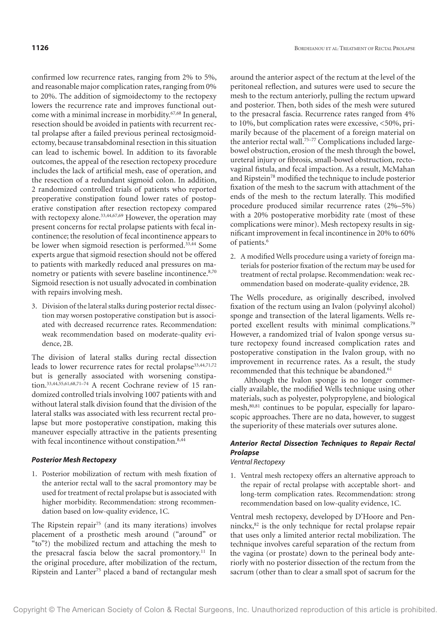confirmed low recurrence rates, ranging from 2% to 5%, and reasonable major complication rates, ranging from 0% to 20%. The addition of sigmoidectomy to the rectopexy lowers the recurrence rate and improves functional outcome with a minimal increase in morbidity.67,68 In general, resection should be avoided in patients with recurrent rectal prolapse after a failed previous perineal rectosigmoidectomy, because transabdominal resection in this situation can lead to ischemic bowel. In addition to its favorable outcomes, the appeal of the resection rectopexy procedure includes the lack of artificial mesh, ease of operation, and the resection of a redundant sigmoid colon. In addition, 2 randomized controlled trials of patients who reported preoperative constipation found lower rates of postoperative constipation after resection rectopexy compared with rectopexy alone.<sup>33,44,67,69</sup> However, the operation may present concerns for rectal prolapse patients with fecal incontinence; the resolution of fecal incontinence appears to be lower when sigmoid resection is performed.<sup>33,44</sup> Some experts argue that sigmoid resection should not be offered to patients with markedly reduced anal pressures on manometry or patients with severe baseline incontinence.<sup>8,70</sup> Sigmoid resection is not usually advocated in combination with repairs involving mesh.

3. Division of the lateral stalks during posterior rectal dissection may worsen postoperative constipation but is associated with decreased recurrence rates. Recommendation: weak recommendation based on moderate-quality evidence, 2B.

The division of lateral stalks during rectal dissection leads to lower recurrence rates for rectal prolapse<sup>33,44,71,72</sup> but is generally associated with worsening constipation.<sup>33,44,55,61,68,71-74</sup> A recent Cochrane review of 15 randomized controlled trials involving 1007 patients with and without lateral stalk division found that the division of the lateral stalks was associated with less recurrent rectal prolapse but more postoperative constipation, making this maneuver especially attractive in the patients presenting with fecal incontinence without constipation.<sup>8,44</sup>

#### **Posterior Mesh Rectopexy**

1. Posterior mobilization of rectum with mesh fixation of the anterior rectal wall to the sacral promontory may be used for treatment of rectal prolapse but is associated with higher morbidity. Recommendation: strong recommendation based on low-quality evidence, 1C.

The Ripstein repair<sup>75</sup> (and its many iterations) involves placement of a prosthetic mesh around ("around" or "to"?) the mobilized rectum and attaching the mesh to the presacral fascia below the sacral promontory.<sup>11</sup> In the original procedure, after mobilization of the rectum, Ripstein and Lanter<sup>75</sup> placed a band of rectangular mesh

around the anterior aspect of the rectum at the level of the peritoneal reflection, and sutures were used to secure the mesh to the rectum anteriorly, pulling the rectum upward and posterior. Then, both sides of the mesh were sutured to the presacral fascia. Recurrence rates ranged from 4% to 10%, but complication rates were excessive, <50%, primarily because of the placement of a foreign material on the anterior rectal wall.<sup>75-77</sup> Complications included largebowel obstruction, erosion of the mesh through the bowel, ureteral injury or fibrosis, small-bowel obstruction, rectovaginal fistula, and fecal impaction. As a result, McMahan and Ripstein78 modified the technique to include posterior fixation of the mesh to the sacrum with attachment of the ends of the mesh to the rectum laterally. This modified procedure produced similar recurrence rates (2%–5%) with a 20% postoperative morbidity rate (most of these complications were minor). Mesh rectopexy results in significant improvement in fecal incontinence in 20% to 60% of patients.<sup>6</sup>

2. A modified Wells procedure using a variety of foreign materials for posterior fixation of the rectum may be used for treatment of rectal prolapse. Recommendation: weak recommendation based on moderate-quality evidence, 2B.

The Wells procedure, as originally described, involved fixation of the rectum using an Ivalon (polyvinyl alcohol) sponge and transection of the lateral ligaments. Wells reported excellent results with minimal complications.<sup>79</sup> However, a randomized trial of Ivalon sponge versus suture rectopexy found increased complication rates and postoperative constipation in the Ivalon group, with no improvement in recurrence rates. As a result, the study recommended that this technique be abandoned.<sup>61</sup>

Although the Ivalon sponge is no longer commercially available, the modified Wells technique using other materials, such as polyester, polypropylene, and biological mesh,80,81 continues to be popular, especially for laparoscopic approaches. There are no data, however, to suggest the superiority of these materials over sutures alone.

# **Anterior Rectal Dissection Techniques to Repair Rectal Prolapse**

## Ventral Rectopexy

1. Ventral mesh rectopexy offers an alternative approach to the repair of rectal prolapse with acceptable short- and long-term complication rates. Recommendation: strong recommendation based on low-quality evidence, 1C.

Ventral mesh rectopexy, developed by D'Hoore and Penninckx,82 is the only technique for rectal prolapse repair that uses only a limited anterior rectal mobilization. The technique involves careful separation of the rectum from the vagina (or prostate) down to the perineal body anteriorly with no posterior dissection of the rectum from the sacrum (other than to clear a small spot of sacrum for the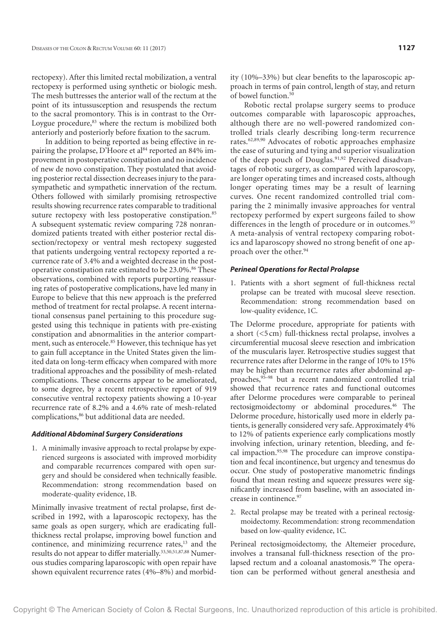rectopexy). After this limited rectal mobilization, a ventral rectopexy is performed using synthetic or biologic mesh. The mesh buttresses the anterior wall of the rectum at the point of its intussusception and resuspends the rectum to the sacral promontory. This is in contrast to the Orr-Loygue procedure,<sup>83</sup> where the rectum is mobilized both anteriorly and posteriorly before fixation to the sacrum.

In addition to being reported as being effective in repairing the prolapse, D'Hoore et al<sup>84</sup> reported an 84% improvement in postoperative constipation and no incidence of new de novo constipation. They postulated that avoiding posterior rectal dissection decreases injury to the parasympathetic and sympathetic innervation of the rectum. Others followed with similarly promising retrospective results showing recurrence rates comparable to traditional suture rectopexy with less postoperative constipation.<sup>85</sup> A subsequent systematic review comparing 728 nonrandomized patients treated with either posterior rectal dissection/rectopexy or ventral mesh rectopexy suggested that patients undergoing ventral rectopexy reported a recurrence rate of 3.4% and a weighted decrease in the postoperative constipation rate estimated to be 23.0%.<sup>86</sup> These observations, combined with reports purporting reassuring rates of postoperative complications, have led many in Europe to believe that this new approach is the preferred method of treatment for rectal prolapse. A recent international consensus panel pertaining to this procedure suggested using this technique in patients with pre-existing constipation and abnormalities in the anterior compartment, such as enterocele.<sup>85</sup> However, this technique has yet to gain full acceptance in the United States given the limited data on long-term efficacy when compared with more traditional approaches and the possibility of mesh-related complications. These concerns appear to be ameliorated, to some degree, by a recent retrospective report of 919 consecutive ventral rectopexy patients showing a 10-year recurrence rate of 8.2% and a 4.6% rate of mesh-related complications,<sup>86</sup> but additional data are needed.

### **Additional Abdominal Surgery Considerations**

1. A minimally invasive approach to rectal prolapse by experienced surgeons is associated with improved morbidity and comparable recurrences compared with open surgery and should be considered when technically feasible. Recommendation: strong recommendation based on moderate-quality evidence, 1B.

Minimally invasive treatment of rectal prolapse, first described in 1992, with a laparoscopic rectopexy, has the same goals as open surgery, which are eradicating fullthickness rectal prolapse, improving bowel function and continence, and minimizing recurrence rates,<sup>13</sup> and the results do not appear to differ materially.<sup>33,50,51,87,88</sup> Numerous studies comparing laparoscopic with open repair have shown equivalent recurrence rates (4%–8%) and morbid-

ity (10%–33%) but clear benefits to the laparoscopic approach in terms of pain control, length of stay, and return of bowel function.<sup>50</sup>

Robotic rectal prolapse surgery seems to produce outcomes comparable with laparoscopic approaches, although there are no well-powered randomized controlled trials clearly describing long-term recurrence rates.62,89,90 Advocates of robotic approaches emphasize the ease of suturing and tying and superior visualization of the deep pouch of Douglas.91,92 Perceived disadvantages of robotic surgery, as compared with laparoscopy, are longer operating times and increased costs, although longer operating times may be a result of learning curves. One recent randomized controlled trial comparing the 2 minimally invasive approaches for ventral rectopexy performed by expert surgeons failed to show differences in the length of procedure or in outcomes.<sup>93</sup> A meta-analysis of ventral rectopexy comparing robotics and laparoscopy showed no strong benefit of one approach over the other.<sup>94</sup>

#### **Perineal Operations for Rectal Prolapse**

1. Patients with a short segment of full-thickness rectal prolapse can be treated with mucosal sleeve resection. Recommendation: strong recommendation based on low-quality evidence, 1C.

The Delorme procedure, appropriate for patients with a short (<5 cm) full-thickness rectal prolapse, involves a circumferential mucosal sleeve resection and imbrication of the muscularis layer. Retrospective studies suggest that recurrence rates after Delorme in the range of 10% to 15% may be higher than recurrence rates after abdominal approaches,95–98 but a recent randomized controlled trial showed that recurrence rates and functional outcomes after Delorme procedures were comparable to perineal rectosigmoidectomy or abdominal procedures.<sup>46</sup> The Delorme procedure, historically used more in elderly patients, is generally considered very safe. Approximately 4% to 12% of patients experience early complications mostly involving infection, urinary retention, bleeding, and fecal impaction.95,98 The procedure can improve constipation and fecal incontinence, but urgency and tenesmus do occur. One study of postoperative manometric findings found that mean resting and squeeze pressures were significantly increased from baseline, with an associated increase in continence.97

2. Rectal prolapse may be treated with a perineal rectosigmoidectomy. Recommendation: strong recommendation based on low-quality evidence, 1C.

Perineal rectosigmoidectomy, the Altemeier procedure, involves a transanal full-thickness resection of the prolapsed rectum and a coloanal anastomosis.<sup>99</sup> The operation can be performed without general anesthesia and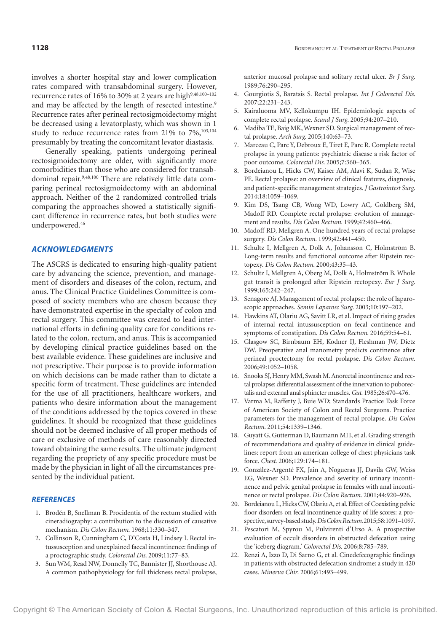involves a shorter hospital stay and lower complication rates compared with transabdominal surgery. However, recurrence rates of 16% to 30% at 2 years are high<sup>9,48,100-102</sup> and may be affected by the length of resected intestine.<sup>9</sup> Recurrence rates after perineal rectosigmoidectomy might be decreased using a levatorplasty, which was shown in 1 study to reduce recurrence rates from 21% to 7%,<sup>103,104</sup> presumably by treating the concomitant levator diastasis.

Generally speaking, patients undergoing perineal rectosigmoidectomy are older, with significantly more comorbidities than those who are considered for transabdominal repair.9,48,100 There are relatively little data comparing perineal rectosigmoidectomy with an abdominal approach. Neither of the 2 randomized controlled trials comparing the approaches showed a statistically significant difference in recurrence rates, but both studies were underpowered.46

## **ACKNOWLEDGMENTS**

The ASCRS is dedicated to ensuring high-quality patient care by advancing the science, prevention, and management of disorders and diseases of the colon, rectum, and anus. The Clinical Practice Guidelines Committee is composed of society members who are chosen because they have demonstrated expertise in the specialty of colon and rectal surgery. This committee was created to lead international efforts in defining quality care for conditions related to the colon, rectum, and anus. This is accompanied by developing clinical practice guidelines based on the best available evidence. These guidelines are inclusive and not prescriptive. Their purpose is to provide information on which decisions can be made rather than to dictate a specific form of treatment. These guidelines are intended for the use of all practitioners, healthcare workers, and patients who desire information about the management of the conditions addressed by the topics covered in these guidelines. It should be recognized that these guidelines should not be deemed inclusive of all proper methods of care or exclusive of methods of care reasonably directed toward obtaining the same results. The ultimate judgment regarding the propriety of any specific procedure must be made by the physician in light of all the circumstances presented by the individual patient.

## **REFERENCES**

- 1. Brodén B, Snellman B. Procidentia of the rectum studied with cineradiography: a contribution to the discussion of causative mechanism. *Dis Colon Rectum*. 1968;11:330–347.
- 2. Collinson R, Cunningham C, D'Costa H, Lindsey I. Rectal intussusception and unexplained faecal incontinence: findings of a proctographic study. *Colorectal Dis*. 2009;11:77–83.
- 3. Sun WM, Read NW, Donnelly TC, Bannister JJ, Shorthouse AJ. A common pathophysiology for full thickness rectal prolapse,

anterior mucosal prolapse and solitary rectal ulcer. *Br J Surg*. 1989;76:290–295.

- 4. Gourgiotis S, Baratsis S. Rectal prolapse. *Int J Colorectal Dis*. 2007;22:231–243.
- 5. Kairaluoma MV, Kellokumpu IH. Epidemiologic aspects of complete rectal prolapse. *Scand J Surg*. 2005;94:207–210.
- 6. Madiba TE, Baig MK, Wexner SD. Surgical management of rectal prolapse. *Arch Surg*. 2005;140:63–73.
- 7. Marceau C, Parc Y, Debroux E, Tiret E, Parc R. Complete rectal prolapse in young patients: psychiatric disease a risk factor of poor outcome. *Colorectal Dis*. 2005;7:360–365.
- 8. Bordeianou L, Hicks CW, Kaiser AM, Alavi K, Sudan R, Wise PE. Rectal prolapse: an overview of clinical features, diagnosis, and patient-specific management strategies. *J Gastrointest Surg*. 2014;18:1059–1069.
- 9. Kim DS, Tsang CB, Wong WD, Lowry AC, Goldberg SM, Madoff RD. Complete rectal prolapse: evolution of management and results. *Dis Colon Rectum*. 1999;42:460–466.
- 10. Madoff RD, Mellgren A. One hundred years of rectal prolapse surgery. *Dis Colon Rectum*. 1999;42:441–450.
- 11. Schultz I, Mellgren A, Dolk A, Johansson C, Holmström B. Long-term results and functional outcome after Ripstein rectopexy. *Dis Colon Rectum*. 2000;43:35–43.
- 12. Schultz I, Mellgren A, Oberg M, Dolk A, Holmström B. Whole gut transit is prolonged after Ripstein rectopexy. *Eur J Surg*. 1999;165:242–247.
- 13. Senagore AJ. Management of rectal prolapse: the role of laparoscopic approaches. *Semin Laparosc Surg*. 2003;10:197–202.
- 14. Hawkins AT, Olariu AG, Savitt LR, et al. Impact of rising grades of internal rectal intussusception on fecal continence and symptoms of constipation. *Dis Colon Rectum*. 2016;59:54–61.
- 15. Glasgow SC, Birnbaum EH, Kodner IJ, Fleshman JW, Dietz DW. Preoperative anal manometry predicts continence after perineal proctectomy for rectal prolapse. *Dis Colon Rectum*. 2006;49:1052–1058.
- 16. Snooks SJ, Henry MM, Swash M. Anorectal incontinence and rectal prolapse: differential assessment of the innervation to puborectalis and external anal sphincter muscles. *Gut*. 1985;26:470–476.
- 17. Varma M, Rafferty J, Buie WD; Standards Practice Task Force of American Society of Colon and Rectal Surgeons. Practice parameters for the management of rectal prolapse. *Dis Colon Rectum*. 2011;54:1339–1346.
- 18. Guyatt G, Gutterman D, Baumann MH, et al. Grading strength of recommendations and quality of evidence in clinical guidelines: report from an american college of chest physicians task force. *Chest*. 2006;129:174–181.
- 19. González-Argenté FX, Jain A, Nogueras JJ, Davila GW, Weiss EG, Wexner SD. Prevalence and severity of urinary incontinence and pelvic genital prolapse in females with anal incontinence or rectal prolapse. *Dis Colon Rectum*. 2001;44:920–926.
- 20. Bordeianou L, Hicks CW, Olariu A, et al. Effect of Coexisting pelvic floor disorders on fecal incontinence quality of life scores: a prospective, survey-based study. *Dis Colon Rectum*. 2015;58:1091–1097.
- 21. Pescatori M, Spyrou M, Pulvirenti d'Urso A. A prospective evaluation of occult disorders in obstructed defecation using the 'iceberg diagram.' *Colorectal Dis*. 2006;8:785–789.
- 22. Renzi A, Izzo D, Di Sarno G, et al. Cinedefecographic findings in patients with obstructed defecation sindrome: a study in 420 cases. *Minerva Chir*. 2006;61:493–499.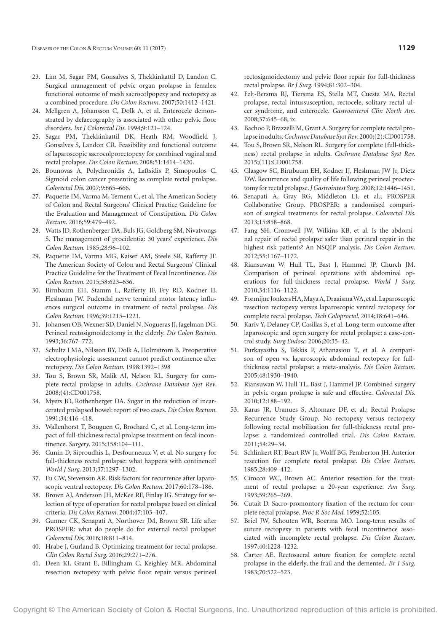- 23. Lim M, Sagar PM, Gonsalves S, Thekkinkattil D, Landon C. Surgical management of pelvic organ prolapse in females: functional outcome of mesh sacrocolpopexy and rectopexy as a combined procedure. *Dis Colon Rectum*. 2007;50:1412–1421.
- 24. Mellgren A, Johansson C, Dolk A, et al. Enterocele demonstrated by defaecography is associated with other pelvic floor disorders. *Int J Colorectal Dis*. 1994;9:121–124.
- 25. Sagar PM, Thekkinkattil DK, Heath RM, Woodfield J, Gonsalves S, Landon CR. Feasibility and functional outcome of laparoscopic sacrocolporectopexy for combined vaginal and rectal prolapse. *Dis Colon Rectum*. 2008;51:1414–1420.
- 26. Bounovas A, Polychronidis A, Laftsidis P, Simopoulos C. Sigmoid colon cancer presenting as complete rectal prolapse. *Colorectal Dis*. 2007;9:665–666.
- 27. Paquette IM, Varma M, Ternent C, et al. The American Society of Colon and Rectal Surgeons' Clinical Practice Guideline for the Evaluation and Management of Constipation. *Dis Colon Rectum*. 2016;59:479–492.
- 28. Watts JD, Rothenberger DA, Buls JG, Goldberg SM, Nivatvongs S. The management of procidentia: 30 years' experience. *Dis Colon Rectum*. 1985;28:96–102.
- 29. Paquette IM, Varma MG, Kaiser AM, Steele SR, Rafferty JF. The American Society of Colon and Rectal Surgeons' Clinical Practice Guideline for the Treatment of Fecal Incontinence. *Dis Colon Rectum*. 2015;58:623–636.
- 30. Birnbaum EH, Stamm L, Rafferty JF, Fry RD, Kodner IJ, Fleshman JW. Pudendal nerve terminal motor latency influences surgical outcome in treatment of rectal prolapse. *Dis Colon Rectum*. 1996;39:1215–1221.
- 31. Johansen OB, Wexner SD, Daniel N, Nogueras JJ, Jagelman DG. Perineal rectosigmoidectomy in the elderly. *Dis Colon Rectum*. 1993;36:767–772.
- 32. Schultz I MA, Nilsson BY, Dolk A, Holmstrom B. Preoperative electrophysiologic assessment cannot predict continence after rectopexy. *Dis Colon Rectum*. 1998:1392–1398
- 33. Tou S, Brown SR, Malik AI, Nelson RL. Surgery for complete rectal prolapse in adults. *Cochrane Database Syst Rev*. 2008;(4):CD001758.
- 34. Myers JO, Rothenberger DA. Sugar in the reduction of incarcerated prolapsed bowel: report of two cases. *Dis Colon Rectum*. 1991;34:416–418.
- 35. Wallenhorst T, Bouguen G, Brochard C, et al. Long-term impact of full-thickness rectal prolapse treatment on fecal incontinence. *Surgery*. 2015;158:104–111.
- 36. Cunin D, Siproudhis L, Desfourneaux V, et al. No surgery for full-thickness rectal prolapse: what happens with continence? *World J Surg*. 2013;37:1297–1302.
- 37. Fu CW, Stevenson AR. Risk factors for recurrence after laparoscopic ventral rectopexy. *Dis Colon Rectum*. 2017;60:178–186.
- 38. Brown AJ, Anderson JH, McKee RF, Finlay IG. Strategy for selection of type of operation for rectal prolapse based on clinical criteria. *Dis Colon Rectum*. 2004;47:103–107.
- 39. Gunner CK, Senapati A, Northover JM, Brown SR. Life after PROSPER: what do people do for external rectal prolapse? *Colorectal Dis*. 2016;18:811–814.
- 40. Hrabe J, Gurland B. Optimizing treatment for rectal prolapse. *Clin Colon Rectal Surg*. 2016;29:271–276.
- 41. Deen KI, Grant E, Billingham C, Keighley MR. Abdominal resection rectopexy with pelvic floor repair versus perineal

rectosigmoidectomy and pelvic floor repair for full-thickness rectal prolapse. *Br J Surg*. 1994;81:302–304.

- 42. Felt-Bersma RJ, Tiersma ES, Stella MT, Cuesta MA. Rectal prolapse, rectal intussusception, rectocele, solitary rectal ulcer syndrome, and enterocele. *Gastroenterol Clin North Am*. 2008;37:645–68, ix.
- 43. Bachoo P, Brazzelli M, Grant A. Surgery for complete rectal prolapse in adults. *Cochrane Database Syst Rev*. 2000;(2):CD001758.
- 44. Tou S, Brown SR, Nelson RL. Surgery for complete (full-thickness) rectal prolapse in adults. *Cochrane Database Syst Rev*. 2015;(11):CD001758.
- 45. Glasgow SC, Birnbaum EH, Kodner IJ, Fleshman JW Jr, Dietz DW. Recurrence and quality of life following perineal proctectomy for rectal prolapse. *J Gastrointest Surg*. 2008;12:1446–1451.
- 46. Senapati A, Gray RG, Middleton LJ, et al.; PROSPER Collaborative Group. PROSPER: a randomised comparison of surgical treatments for rectal prolapse. *Colorectal Dis*. 2013;15:858–868.
- 47. Fang SH, Cromwell JW, Wilkins KB, et al. Is the abdominal repair of rectal prolapse safer than perineal repair in the highest risk patients? An NSQIP analysis. *Dis Colon Rectum*. 2012;55:1167–1172.
- 48. Riansuwan W, Hull TL, Bast J, Hammel JP, Church JM. Comparison of perineal operations with abdominal operations for full-thickness rectal prolapse. *World J Surg*. 2010;34:1116–1122.
- 49. Formijne Jonkers HA, Maya A, Draaisma WA, et al. Laparoscopic resection rectopexy versus laparoscopic ventral rectopexy for complete rectal prolapse. *Tech Coloproctol*. 2014;18:641–646.
- 50. Kariv Y, Delaney CP, Casillas S, et al. Long-term outcome after laparoscopic and open surgery for rectal prolapse: a case-control study. *Surg Endosc*. 2006;20:35–42.
- 51. Purkayastha S, Tekkis P, Athanasiou T, et al. A comparison of open vs. laparoscopic abdominal rectopexy for fullthickness rectal prolapse: a meta-analysis. *Dis Colon Rectum*. 2005;48:1930–1940.
- 52. Riansuwan W, Hull TL, Bast J, Hammel JP. Combined surgery in pelvic organ prolapse is safe and effective. *Colorectal Dis*. 2010;12:188–192.
- 53. Karas JR, Uranues S, Altomare DF, et al.; Rectal Prolapse Recurrence Study Group. No rectopexy versus rectopexy following rectal mobilization for full-thickness rectal prolapse: a randomized controlled trial. *Dis Colon Rectum*. 2011;54:29–34.
- 54. Schlinkert RT, Beart RW Jr, Wolff BG, Pemberton JH. Anterior resection for complete rectal prolapse. *Dis Colon Rectum*. 1985;28:409–412.
- 55. Cirocco WC, Brown AC. Anterior resection for the treatment of rectal prolapse: a 20-year experience. *Am Surg*. 1993;59:265–269.
- 56. Cutait D. Sacro-promontory fixation of the rectum for complete rectal prolapse. *Proc R Soc Med*. 1959;52:105.
- 57. Briel JW, Schouten WR, Boerma MO. Long-term results of suture rectopexy in patients with fecal incontinence associated with incomplete rectal prolapse. *Dis Colon Rectum*. 1997;40:1228–1232.
- 58. Carter AE. Rectosacral suture fixation for complete rectal prolapse in the elderly, the frail and the demented. *Br J Surg*. 1983;70:522–523.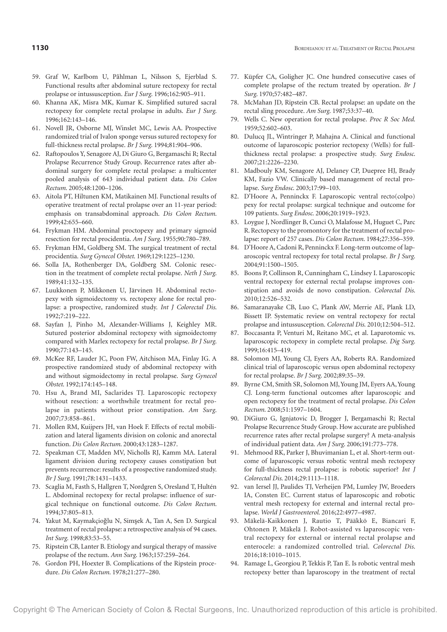- 59. Graf W, Karlbom U, Påhlman L, Nilsson S, Ejerblad S. Functional results after abdominal suture rectopexy for rectal prolapse or intussusception. *Eur J Surg*. 1996;162:905–911.
- 60. Khanna AK, Misra MK, Kumar K. Simplified sutured sacral rectopexy for complete rectal prolapse in adults. *Eur J Surg*. 1996;162:143–146.
- 61. Novell JR, Osborne MJ, Winslet MC, Lewis AA. Prospective randomized trial of Ivalon sponge versus sutured rectopexy for full-thickness rectal prolapse. *Br J Surg*. 1994;81:904–906.
- 62. Raftopoulos Y, Senagore AJ, Di Giuro G, Bergamaschi R; Rectal Prolapse Recurrence Study Group. Recurrence rates after abdominal surgery for complete rectal prolapse: a multicenter pooled analysis of 643 individual patient data. *Dis Colon Rectum*. 2005;48:1200–1206.
- 63. Aitola PT, Hiltunen KM, Matikainen MJ. Functional results of operative treatment of rectal prolapse over an 11-year period: emphasis on transabdominal approach. *Dis Colon Rectum*. 1999;42:655–660.
- 64. Frykman HM. Abdominal proctopexy and primary sigmoid resection for rectal procidentia. *Am J Surg*. 1955;90:780–789.
- 65. Frykman HM, Goldberg SM. The surgical treatment of rectal procidentia. *Surg Gynecol Obstet*. 1969;129:1225–1230.
- 66. Solla JA, Rothenberger DA, Goldberg SM. Colonic resection in the treatment of complete rectal prolapse. *Neth J Surg*. 1989;41:132–135.
- 67. Luukkonen P, Mikkonen U, Järvinen H. Abdominal rectopexy with sigmoidectomy vs. rectopexy alone for rectal prolapse: a prospective, randomized study. *Int J Colorectal Dis*. 1992;7:219–222.
- 68. Sayfan J, Pinho M, Alexander-Williams J, Keighley MR. Sutured posterior abdominal rectopexy with sigmoidectomy compared with Marlex rectopexy for rectal prolapse. *Br J Surg*. 1990;77:143–145.
- 69. McKee RF, Lauder JC, Poon FW, Aitchison MA, Finlay IG. A prospective randomized study of abdominal rectopexy with and without sigmoidectomy in rectal prolapse. *Surg Gynecol Obstet*. 1992;174:145–148.
- 70. Hsu A, Brand MI, Saclarides TJ. Laparoscopic rectopexy without resection: a worthwhile treatment for rectal prolapse in patients without prior constipation. *Am Surg*. 2007;73:858–861.
- 71. Mollen RM, Kuijpers JH, van Hoek F. Effects of rectal mobilization and lateral ligaments division on colonic and anorectal function. *Dis Colon Rectum*. 2000;43:1283–1287.
- 72. Speakman CT, Madden MV, Nicholls RJ, Kamm MA. Lateral ligament division during rectopexy causes constipation but prevents recurrence: results of a prospective randomized study. *Br J Surg*. 1991;78:1431–1433.
- 73. Scaglia M, Fasth S, Hallgren T, Nordgren S, Oresland T, Hultén L. Abdominal rectopexy for rectal prolapse: influence of surgical technique on functional outcome. *Dis Colon Rectum*. 1994;37:805–813.
- 74. Yakut M, Kaymakçioğlu N, Simşek A, Tan A, Sen D. Surgical treatment of rectal prolapse: a retrospective analysis of 94 cases. *Int Surg*. 1998;83:53–55.
- 75. Ripstein CB, Lanter B. Etiology and surgical therapy of massive prolapse of the rectum. *Ann Surg*. 1963;157:259–264.
- 76. Gordon PH, Hoexter B. Complications of the Ripstein procedure. *Dis Colon Rectum*. 1978;21:277–280.
- 77. Küpfer CA, Goligher JC. One hundred consecutive cases of complete prolapse of the rectum treated by operation. *Br J Surg*. 1970;57:482–487.
- 78. McMahan JD, Ripstein CB. Rectal prolapse: an update on the rectal sling procedure. *Am Surg*. 1987;53:37–40.
- 79. Wells C. New operation for rectal prolapse. *Proc R Soc Med*. 1959;52:602–603.
- 80. Dulucq JL, Wintringer P, Mahajna A. Clinical and functional outcome of laparoscopic posterior rectopexy (Wells) for fullthickness rectal prolapse: a prospective study. *Surg Endosc*. 2007;21:2226–2230.
- 81. Madbouly KM, Senagore AJ, Delaney CP, Duepree HJ, Brady KM, Fazio VW. Clinically based management of rectal prolapse. *Surg Endosc*. 2003;17:99–103.
- 82. D'Hoore A, Penninckx F. Laparoscopic ventral recto(colpo) pexy for rectal prolapse: surgical technique and outcome for 109 patients. *Surg Endosc*. 2006;20:1919–1923.
- 83. Loygue J, Nordlinger B, Cunci O, Malafosse M, Huguet C, Parc R. Rectopexy to the promontory for the treatment of rectal prolapse: report of 257 cases. *Dis Colon Rectum*. 1984;27:356–359.
- 84. D'Hoore A, Cadoni R, Penninckx F. Long-term outcome of laparoscopic ventral rectopexy for total rectal prolapse. *Br J Surg*. 2004;91:1500–1505.
- 85. Boons P, Collinson R, Cunningham C, Lindsey I. Laparoscopic ventral rectopexy for external rectal prolapse improves constipation and avoids de novo constipation. *Colorectal Dis*. 2010;12:526–532.
- 86. Samaranayake CB, Luo C, Plank AW, Merrie AE, Plank LD, Bissett IP. Systematic review on ventral rectopexy for rectal prolapse and intussusception. *Colorectal Dis*. 2010;12:504–512.
- 87. Boccasanta P, Venturi M, Reitano MC, et al. Laparotomic vs. laparoscopic rectopexy in complete rectal prolapse. *Dig Surg*. 1999;16:415–419.
- 88. Solomon MJ, Young CJ, Eyers AA, Roberts RA. Randomized clinical trial of laparoscopic versus open abdominal rectopexy for rectal prolapse. *Br J Surg*. 2002;89:35–39.
- 89. Byrne CM, Smith SR, Solomon MJ, Young JM, Eyers AA, Young CJ. Long-term functional outcomes after laparoscopic and open rectopexy for the treatment of rectal prolapse. *Dis Colon Rectum*. 2008;51:1597–1604.
- 90. DiGiuro G, Ignjatovic D, Brogger J, Bergamaschi R; Rectal Prolapse Recurrence Study Group. How accurate are published recurrence rates after rectal prolapse surgery? A meta-analysis of individual patient data. *Am J Surg*. 2006;191:773–778.
- 91. Mehmood RK, Parker J, Bhuvimanian L, et al. Short-term outcome of laparoscopic versus robotic ventral mesh rectopexy for full-thickness rectal prolapse: is robotic superior? *Int J Colorectal Dis*. 2014;29:1113–1118.
- 92. van Iersel JJ, Paulides TJ, Verheijen PM, Lumley JW, Broeders IA, Consten EC. Current status of laparoscopic and robotic ventral mesh rectopexy for external and internal rectal prolapse. *World J Gastroenterol*. 2016;22:4977–4987.
- 93. Mäkelä-Kaikkonen J, Rautio T, Pääkkö E, Biancari F, Ohtonen P, Mäkelä J. Robot-assisted vs laparoscopic ventral rectopexy for external or internal rectal prolapse and enterocele: a randomized controlled trial. *Colorectal Dis*. 2016;18:1010–1015.
- 94. Ramage L, Georgiou P, Tekkis P, Tan E. Is robotic ventral mesh rectopexy better than laparoscopy in the treatment of rectal